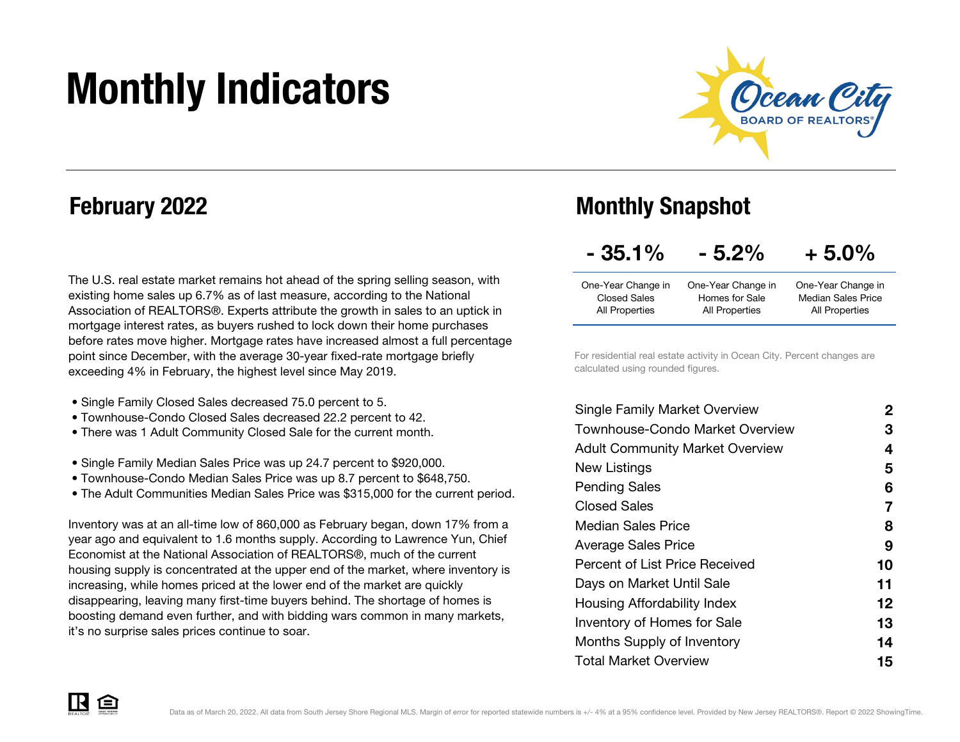# Monthly Indicators



### February 2022

The U.S. real estate market remains hot ahead of the spring selling season, with existing home sales up 6.7% as of last measure, according to the National Association of REALTORS®. Experts attribute the growth in sales to an uptick in mortgage interest rates, as buyers rushed to lock down their home purchases before rates move higher. Mortgage rates have increased almost a full percentage point since December, with the average 30-year fixed-rate mortgage briefly exceeding 4% in February, the highest level since May 2019.

- Single Family Closed Sales decreased 75.0 percent to 5.
- Townhouse-Condo Closed Sales decreased 22.2 percent to 42.
- There was 1 Adult Community Closed Sale for the current month.
- Single Family Median Sales Price was up 24.7 percent to \$920,000.
- Townhouse-Condo Median Sales Price was up 8.7 percent to \$648,750.
- The Adult Communities Median Sales Price was \$315,000 for the current period.

Inventory was at an all-time low of 860,000 as February began, down 17% from a year ago and equivalent to 1.6 months supply. According to Lawrence Yun, Chief Economist at the National Association of REALTORS®, much of the current housing supply is concentrated at the upper end of the market, where inventory is increasing, while homes priced at the lower end of the market are quickly disappearing, leaving many first-time buyers behind. The shortage of homes is boosting demand even further, and with bidding wars common in many markets, it's no surprise sales prices continue to soar.

### Monthly Snapshot

| $-35.1\%$ | $-5.2%$ | $+5.0%$ |
|-----------|---------|---------|
|           |         |         |

| One-Year Change in | One-Year Change in | One-Year Change in        |
|--------------------|--------------------|---------------------------|
| Closed Sales       | Homes for Sale     | <b>Median Sales Price</b> |
| All Properties     | All Properties     | All Properties            |

For residential real estate activity in Ocean City. Percent changes are calculated using rounded figures.

| <b>Single Family Market Overview</b>   | 2  |
|----------------------------------------|----|
| Townhouse-Condo Market Overview        | З  |
| <b>Adult Community Market Overview</b> | 4  |
| New Listings                           | 5  |
| <b>Pending Sales</b>                   | 6  |
| Closed Sales                           | 7  |
| Median Sales Price                     | 8  |
| <b>Average Sales Price</b>             | 9  |
| Percent of List Price Received         | 10 |
| Days on Market Until Sale              | 11 |
| Housing Affordability Index            | 12 |
| Inventory of Homes for Sale            | 13 |
| Months Supply of Inventory             | 14 |
| <b>Total Market Overview</b>           | 15 |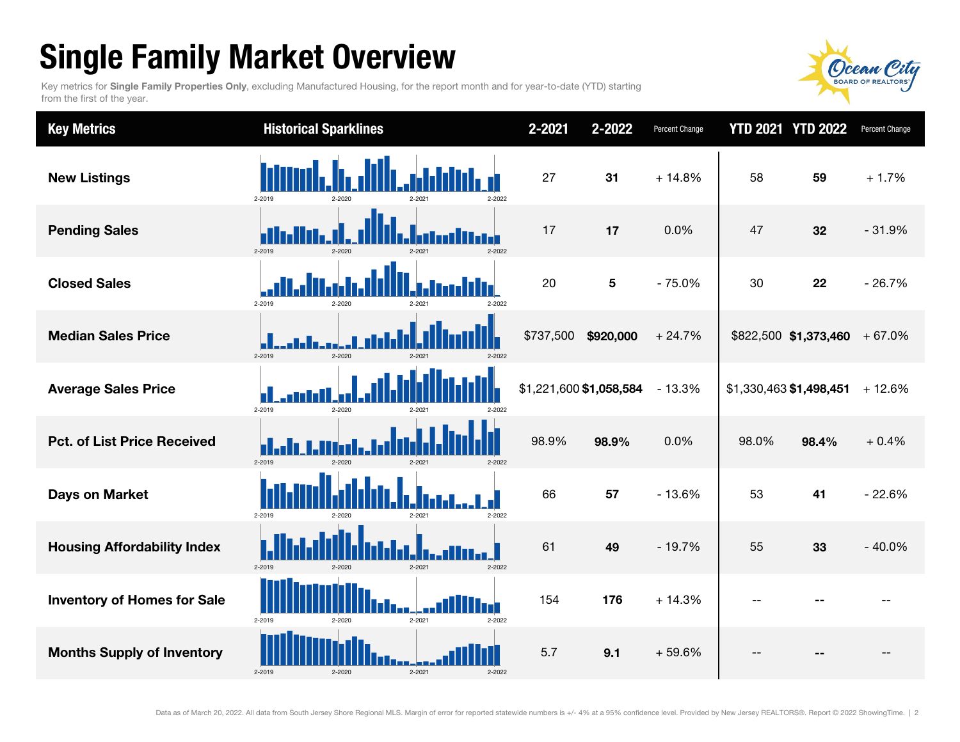## Single Family Market Overview

Key metrics for Single Family Properties Only, excluding Manufactured Housing, for the report month and for year-to-date (YTD) starting from the first of the year.



| <b>Key Metrics</b>                 | <b>Historical Sparklines</b>                 | 2-2021<br>2-2022        | Percent Change |       | <b>YTD 2021 YTD 2022</b>       | Percent Change |
|------------------------------------|----------------------------------------------|-------------------------|----------------|-------|--------------------------------|----------------|
| <b>New Listings</b>                | 2-2022<br>2-2019<br>2-2020                   | 27<br>31                | $+14.8%$       | 58    | 59                             | $+1.7%$        |
| <b>Pending Sales</b>               | 2-2019<br>2-2020<br>2-2022<br>2-2021         | 17<br>17                | 0.0%           | 47    | 32                             | $-31.9%$       |
| <b>Closed Sales</b>                | 2-2019<br>2-2020<br>2-2022                   | 20<br>5                 | $-75.0%$       | 30    | 22                             | $-26.7%$       |
| <b>Median Sales Price</b>          | 2-2019<br>$2 - 2020$<br>2-2021<br>2-2022     | \$737,500<br>\$920,000  | $+24.7%$       |       | $$822,500$ \$1,373,460 + 67.0% |                |
| <b>Average Sales Price</b>         | 2-2019<br>2-2020<br>2-2022                   | \$1,221,600 \$1,058,584 | $-13.3%$       |       | \$1,330,463 \$1,498,451        | $+12.6%$       |
| <b>Pct. of List Price Received</b> | 2-2019<br>$2 - 2020$<br>2-2022<br>$2 - 2021$ | 98.9%<br>98.9%          | 0.0%           | 98.0% | 98.4%                          | $+0.4%$        |
| <b>Days on Market</b>              | 2-2019<br>2-2022<br>2.2020<br>$2-202$        | 66<br>57                | $-13.6%$       | 53    | 41                             | $-22.6%$       |
| <b>Housing Affordability Index</b> | 2-2019<br>2-2020<br>2-2021<br>2-2022         | 61<br>49                | $-19.7%$       | 55    | 33                             | $-40.0%$       |
| <b>Inventory of Homes for Sale</b> | ريبة<br>2-2019<br>2-2021<br>2-2020<br>2-2022 | 154<br>176              | $+14.3%$       | $- -$ |                                |                |
| <b>Months Supply of Inventory</b>  | 2-2019<br>2-2021<br>2-2020<br>2-2022         | 5.7<br>9.1              | $+59.6%$       | --    |                                |                |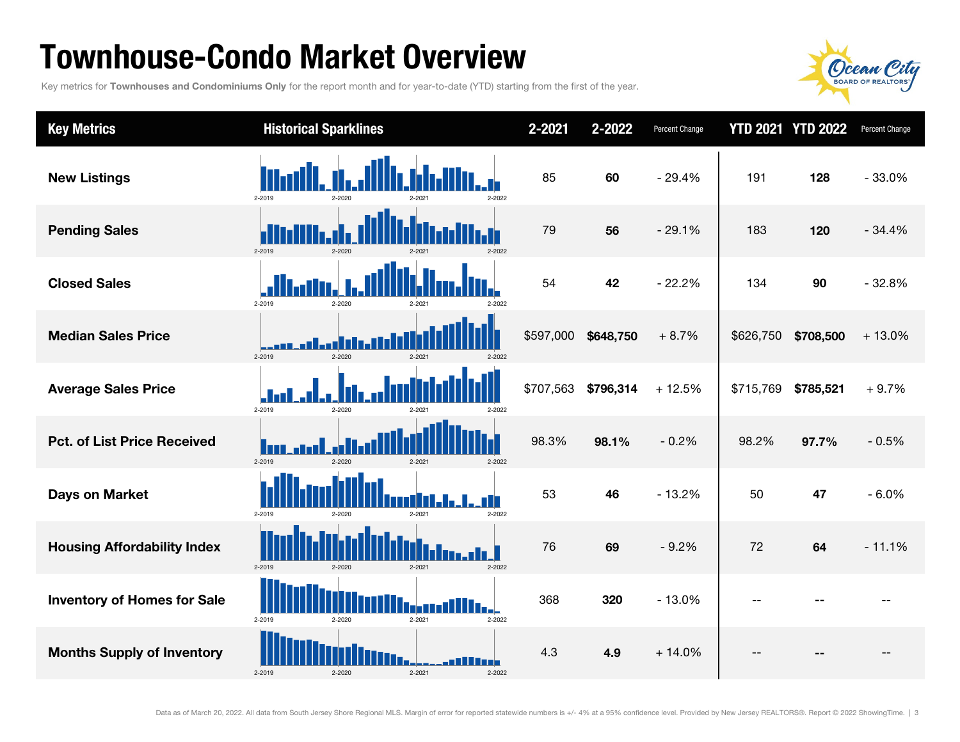### Townhouse-Condo Market Overview

Key metrics for Townhouses and Condominiums Only for the report month and for year-to-date (YTD) starting from the first of the year.



| <b>Key Metrics</b>                 | <b>Historical Sparklines</b>                 | 2-2021    | 2-2022    | Percent Change |           | <b>YTD 2021 YTD 2022</b> | Percent Change |
|------------------------------------|----------------------------------------------|-----------|-----------|----------------|-----------|--------------------------|----------------|
| <b>New Listings</b>                | 2-2019<br>2-2022<br>2-2020                   | 85        | 60        | $-29.4%$       | 191       | 128                      | $-33.0%$       |
| <b>Pending Sales</b>               | 2-2019<br>2-2020<br>2-2022<br>2-2021         | 79        | 56        | $-29.1%$       | 183       | 120                      | $-34.4%$       |
| <b>Closed Sales</b>                | 2-2019<br>2-2020<br>2-202<br>2-2022          | 54        | 42        | $-22.2%$       | 134       | 90                       | $-32.8%$       |
| <b>Median Sales Price</b>          | 2-2019<br>2-2020<br>2-2021<br>2-2022         | \$597,000 | \$648,750 | $+8.7%$        | \$626,750 | \$708,500                | $+13.0%$       |
| <b>Average Sales Price</b>         | 2-2019<br>2-2020<br>2-2022                   | \$707,563 | \$796,314 | $+12.5%$       | \$715,769 | \$785,521                | $+9.7%$        |
| <b>Pct. of List Price Received</b> | 2-2019<br>$2 - 2020$<br>$2 - 2021$<br>2-2022 | 98.3%     | 98.1%     | $-0.2%$        | 98.2%     | 97.7%                    | $-0.5%$        |
| <b>Days on Market</b>              | T<br>2-2019<br>2-2020<br>2-2021<br>2-2022    | 53        | 46        | $-13.2%$       | 50        | 47                       | $-6.0%$        |
| <b>Housing Affordability Index</b> | 2-2019<br>2-2020<br>2-2021<br>2-2022         | 76        | 69        | $-9.2%$        | 72        | 64                       | $-11.1%$       |
| <b>Inventory of Homes for Sale</b> | 2-2019<br>2-2020<br>2-2021<br>2-2022         | 368       | 320       | $-13.0%$       | $- -$     |                          |                |
| <b>Months Supply of Inventory</b>  | 2-2019<br>2-2020<br>$2 - 2021$<br>2-2022     | 4.3       | 4.9       | $+14.0%$       | $-$       |                          |                |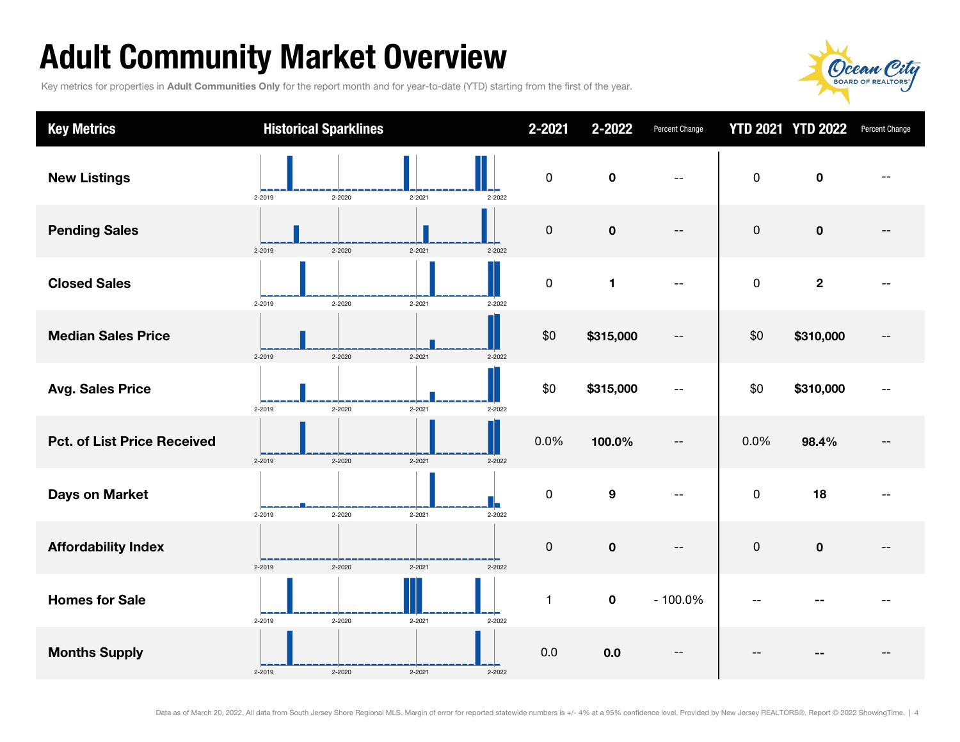## Adult Community Market Overview

Key metrics for properties in Adult Communities Only for the report month and for year-to-date (YTD) starting from the first of the year.



| <b>Key Metrics</b>                 | <b>Historical Sparklines</b> |                      | 2-2021              | 2-2022           | Percent Change           |           | <b>YTD 2021 YTD 2022</b> | Percent Change |
|------------------------------------|------------------------------|----------------------|---------------------|------------------|--------------------------|-----------|--------------------------|----------------|
| <b>New Listings</b>                | 2-2019<br>2-2020             | 2-2021<br>2-2022     | $\pmb{0}$           | $\pmb{0}$        | $-$                      | $\pmb{0}$ | $\mathbf 0$              |                |
| <b>Pending Sales</b>               | 2-2020<br>2-2019             | $2 - 2021$<br>2-2022 | $\boldsymbol{0}$    | $\pmb{0}$        | $-$                      | $\pmb{0}$ | $\mathbf 0$              |                |
| <b>Closed Sales</b>                | 2-2020<br>2-2019             | $2 - 2021$<br>2-2022 | $\pmb{0}$           | $\mathbf{1}$     |                          | $\pmb{0}$ | $\mathbf{2}$             |                |
| <b>Median Sales Price</b>          | 2-2019<br>2-2020             | $2 - 2021$<br>2-2022 | \$0                 | \$315,000        | --                       | \$0       | \$310,000                |                |
| <b>Avg. Sales Price</b>            | 2-2020<br>2-2019             | $2 - 2021$<br>2-2022 | \$0                 | \$315,000        | --                       | \$0       | \$310,000                |                |
| <b>Pct. of List Price Received</b> | 2-2019<br>2-2020             | $2 - 2021$<br>2-2022 | 0.0%                | 100.0%           | $\overline{\phantom{a}}$ | 0.0%      | 98.4%                    |                |
| <b>Days on Market</b>              | 2-2020<br>2-2019             | $2 - 2021$<br>2-2022 | $\mathbf 0$         | $\boldsymbol{9}$ | $-$                      | $\pmb{0}$ | 18                       |                |
| <b>Affordability Index</b>         | 2-2019<br>2-2020             | $2 - 2021$<br>2-2022 | $\mathsf{O}\xspace$ | $\pmb{0}$        | $\overline{\phantom{m}}$ | $\pmb{0}$ | $\pmb{0}$                |                |
| <b>Homes for Sale</b>              | 2-2019<br>2-2020             | 2-2021<br>2-2022     | $\mathbf{1}$        | $\pmb{0}$        | $-100.0%$                |           |                          |                |
| <b>Months Supply</b>               | 2-2019<br>2-2020             | 2-2021<br>2-2022     | 0.0                 | 0.0              |                          |           |                          |                |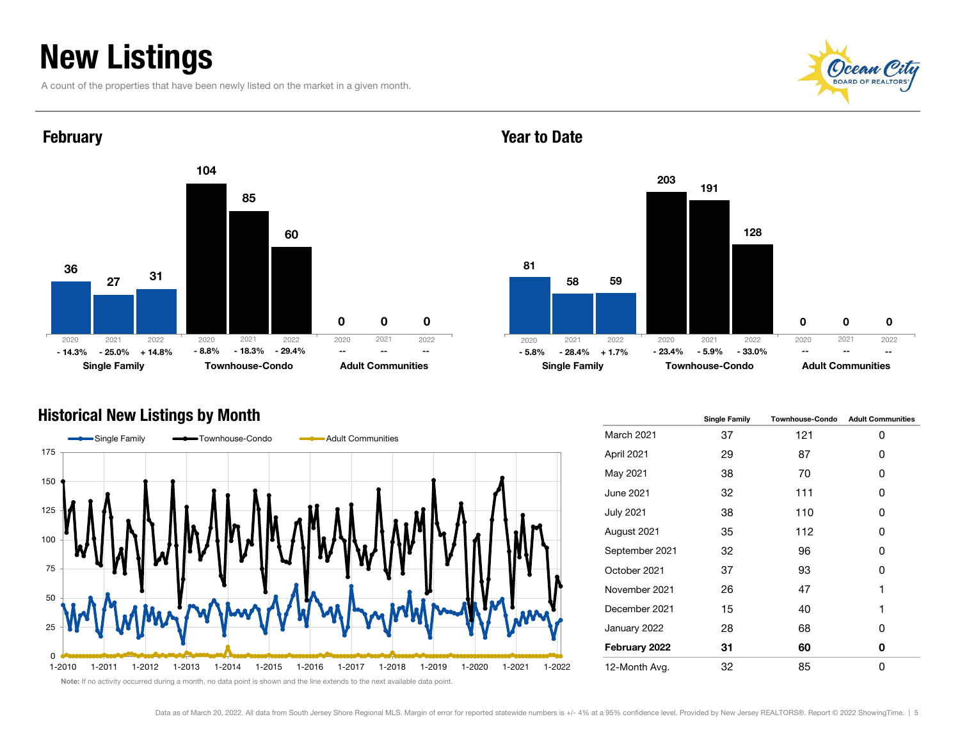### New Listings

**February** 

A count of the properties that have been newly listed on the market in a given month.





#### Year to Date



#### Historical New Listings by Month



|                  | <b>Single Family</b> | <b>Townhouse-Condo</b> | <b>Adult Communities</b> |
|------------------|----------------------|------------------------|--------------------------|
| March 2021       | 37                   | 121                    | 0                        |
| April 2021       | 29                   | 87                     | 0                        |
| May 2021         | 38                   | 70                     | 0                        |
| June 2021        | 32                   | 111                    | 0                        |
| <b>July 2021</b> | 38                   | 110                    | 0                        |
| August 2021      | 35                   | 112                    | 0                        |
| September 2021   | 32                   | 96                     | 0                        |
| October 2021     | 37                   | 93                     | 0                        |
| November 2021    | 26                   | 47                     | 1                        |
| December 2021    | 15                   | 40                     | 1                        |
| January 2022     | 28                   | 68                     | 0                        |
| February 2022    | 31                   | 60                     | 0                        |
| 12-Month Avg.    | 32                   | 85                     | 0                        |

Note: If no activity occurred during a month, no data point is shown and the line extends to the next available data point.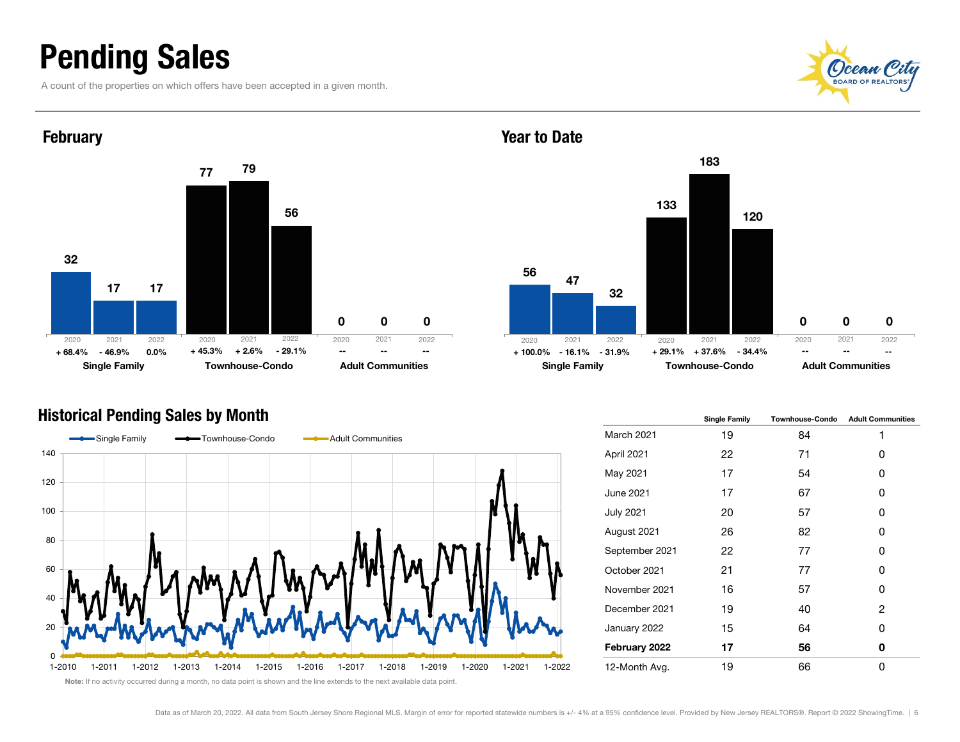### Pending Sales

A count of the properties on which offers have been accepted in a given month.





#### Historical Pending Sales by Month



56 133 $\Omega$ 47183 $\Omega$ 32120 $\Omega$ Single Family **Townhouse-Condo** Adult Communities % - 46.9% 0.0% + 45.3% + 2.6% - 29.1% -- -- -- -- -- -- + 100.0% - 16.1% - 31.9% + 29.1% + 37.6% - 34.4% -- -- 2021 2022 2020 2021 2022 2020 2021 2022--

|                  | <b>Single Family</b> | <b>Townhouse-Condo</b> | <b>Adult Communities</b> |
|------------------|----------------------|------------------------|--------------------------|
| March 2021       | 19                   | 84                     | 1                        |
| April 2021       | 22                   | 71                     | 0                        |
| May 2021         | 17                   | 54                     | 0                        |
| June 2021        | 17                   | 67                     | 0                        |
| <b>July 2021</b> | 20                   | 57                     | 0                        |
| August 2021      | 26                   | 82                     | 0                        |
| September 2021   | 22                   | 77                     | 0                        |
| October 2021     | 21                   | 77                     | 0                        |
| November 2021    | 16                   | 57                     | 0                        |
| December 2021    | 19                   | 40                     | 2                        |
| January 2022     | 15                   | 64                     | 0                        |
| February 2022    | 17                   | 56                     | 0                        |
| 12-Month Avg.    | 19                   | 66                     | 0                        |

#### Year to Date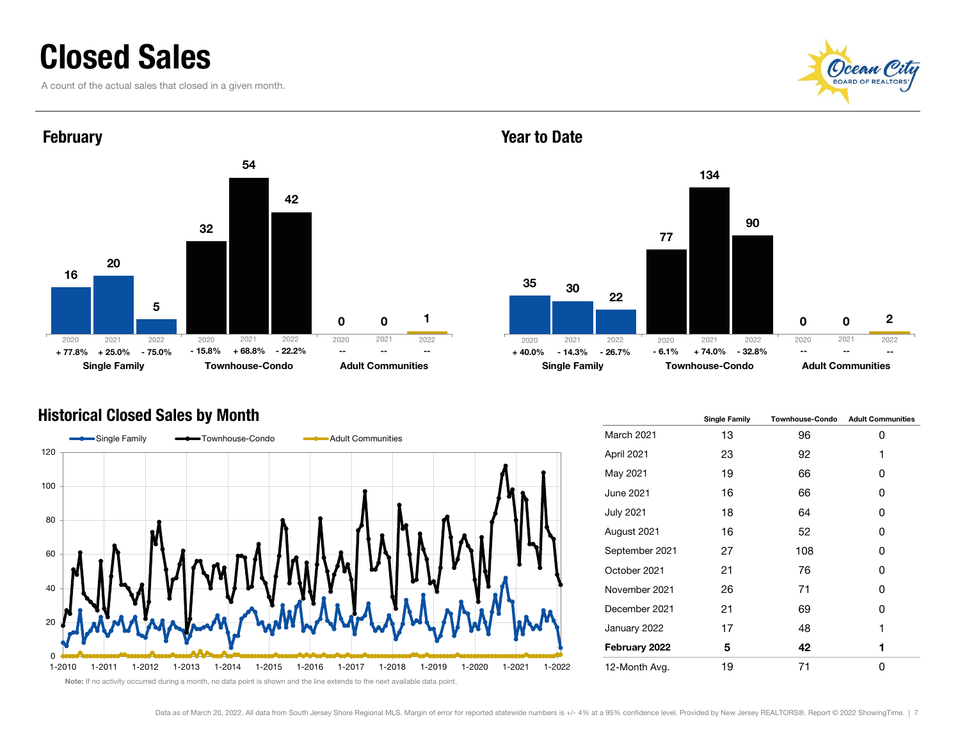### Closed Sales

A count of the actual sales that closed in a given month.



2021 2022



#### Historical Closed Sales by Month



#### 3577 $\Omega$ 30134 $\Omega$ 22902

#### Single Family **Townhouse-Condo** Adult Communities 2021 2022 2020 2021 2022

|                  | <b>Single Family</b> | <b>Townhouse-Condo</b> | <b>Adult Communities</b> |
|------------------|----------------------|------------------------|--------------------------|
| March 2021       | 13                   | 96                     | 0                        |
| April 2021       | 23                   | 92                     | 1                        |
| May 2021         | 19                   | 66                     | ŋ                        |
| June 2021        | 16                   | 66                     | 0                        |
| <b>July 2021</b> | 18                   | 64                     | ŋ                        |
| August 2021      | 16                   | 52                     | ŋ                        |
| September 2021   | 27                   | 108                    | 0                        |
| October 2021     | 21                   | 76                     | 0                        |
| November 2021    | 26                   | 71                     | ŋ                        |
| December 2021    | 21                   | 69                     | 0                        |
| January 2022     | 17                   | 48                     | 1                        |
| February 2022    | 5                    | 42                     | 1                        |
| 12-Month Avg.    | 19                   | 71                     | U                        |

2020

--

#### Year to Date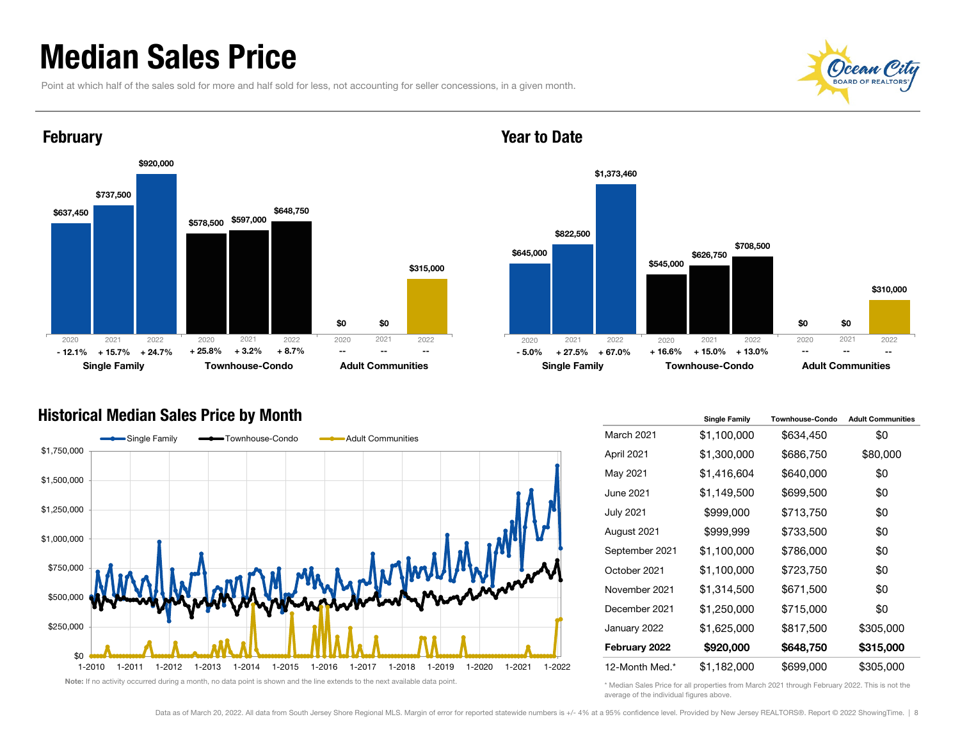### Median Sales Price

Point at which half of the sales sold for more and half sold for less, not accounting for seller concessions, in a given month.





#### Year to Date



#### Historical Median Sales Price by Month



|                  | <b>Single Family</b> | <b>Townhouse-Condo</b> | <b>Adult Communities</b> |
|------------------|----------------------|------------------------|--------------------------|
| March 2021       | \$1,100,000          | \$634,450              | \$0                      |
| April 2021       | \$1,300,000          | \$686,750              | \$80,000                 |
| May 2021         | \$1,416,604          | \$640,000              | \$0                      |
| June 2021        | \$1,149,500          | \$699,500              | \$0                      |
| <b>July 2021</b> | \$999,000            | \$713,750              | \$0                      |
| August 2021      | \$999,999            | \$733,500              | \$0                      |
| September 2021   | \$1,100,000          | \$786,000              | \$0                      |
| October 2021     | \$1,100,000          | \$723,750              | \$0                      |
| November 2021    | \$1,314,500          | \$671,500              | \$0                      |
| December 2021    | \$1,250,000          | \$715,000              | \$0                      |
| January 2022     | \$1,625,000          | \$817,500              | \$305,000                |
| February 2022    | \$920,000            | \$648,750              | \$315,000                |
| 12-Month Med.*   | \$1,182,000          | \$699,000              | \$305,000                |

\* Median Sales Price for all properties from March 2021 through February 2022. This is not the average of the individual figures above.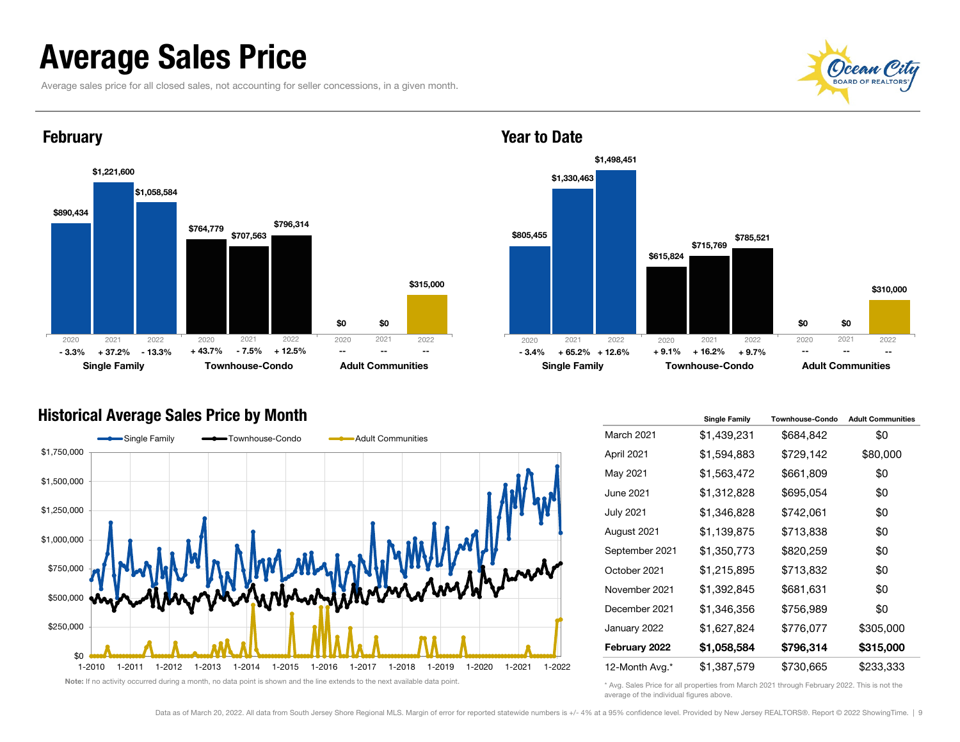### Average Sales Price

Average sales price for all closed sales, not accounting for seller concessions, in a given month.





#### **February**



#### Historical Average Sales Price by Month



|                   | <b>Single Family</b> | <b>Townhouse-Condo</b> | <b>Adult Communities</b> |
|-------------------|----------------------|------------------------|--------------------------|
| <b>March 2021</b> | \$1,439,231          | \$684,842              | \$0                      |
| April 2021        | \$1,594,883          | \$729,142              | \$80,000                 |
| May 2021          | \$1,563,472          | \$661,809              | \$0                      |
| June 2021         | \$1,312,828          | \$695,054              | \$0                      |
| <b>July 2021</b>  | \$1,346,828          | \$742,061              | \$0                      |
| August 2021       | \$1,139,875          | \$713,838              | \$0                      |
| September 2021    | \$1,350,773          | \$820,259              | \$0                      |
| October 2021      | \$1,215,895          | \$713,832              | \$0                      |
| November 2021     | \$1,392,845          | \$681,631              | \$0                      |
| December 2021     | \$1,346,356          | \$756,989              | \$0                      |
| January 2022      | \$1,627,824          | \$776,077              | \$305,000                |
| February 2022     | \$1,058,584          | \$796,314              | \$315,000                |
| 12-Month Avg.*    | \$1,387,579          | \$730,665              | \$233,333                |

\* Avg. Sales Price for all properties from March 2021 through February 2022. This is not the average of the individual figures above.

Year to Date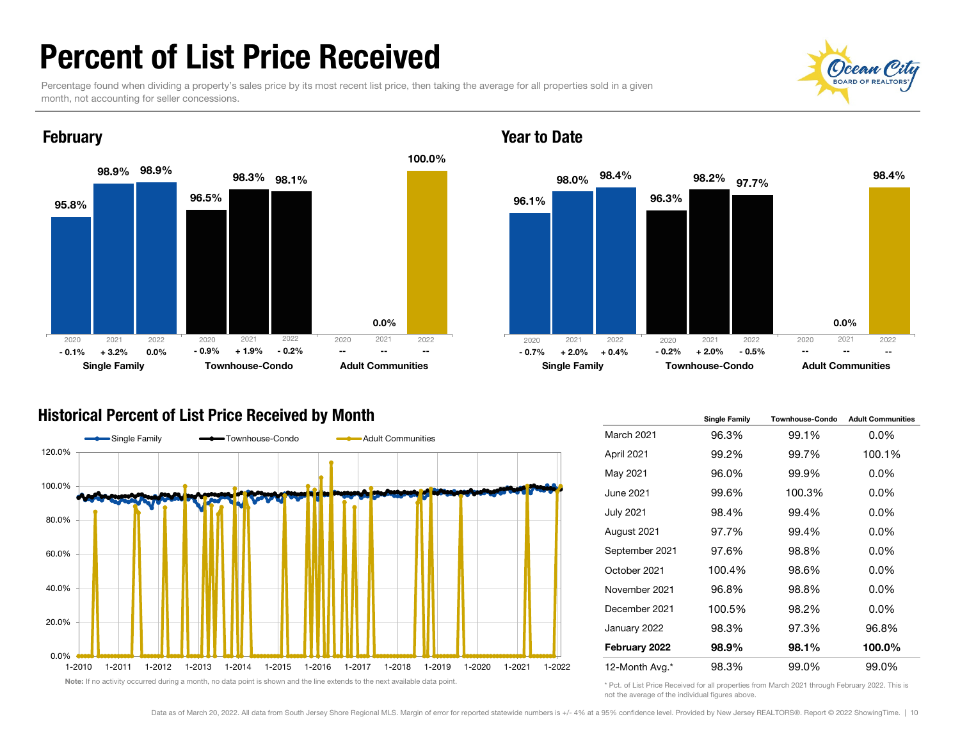### Percent of List Price Received

Percentage found when dividing a property's sales price by its most recent list price, then taking the average for all properties sold in a given month, not accounting for seller concessions.



#### Year to Date



#### Historical Percent of List Price Received by Month



|                   | <b>Single Family</b> | Townhouse-Condo | <b>Adult Communities</b> |
|-------------------|----------------------|-----------------|--------------------------|
| <b>March 2021</b> | 96.3%                | 99.1%           | $0.0\%$                  |
| April 2021        | 99.2%                | 99.7%           | 100.1%                   |
| May 2021          | 96.0%                | 99.9%           | $0.0\%$                  |
| June 2021         | 99.6%                | 100.3%          | $0.0\%$                  |
| <b>July 2021</b>  | 98.4%                | 99.4%           | $0.0\%$                  |
| August 2021       | 97.7%                | 99.4%           | $0.0\%$                  |
| September 2021    | 97.6%                | 98.8%           | $0.0\%$                  |
| October 2021      | 100.4%               | 98.6%           | $0.0\%$                  |
| November 2021     | 96.8%                | 98.8%           | $0.0\%$                  |
| December 2021     | 100.5%               | 98.2%           | $0.0\%$                  |
| January 2022      | 98.3%                | 97.3%           | 96.8%                    |
| February 2022     | 98.9%                | 98.1%           | 100.0%                   |
| 12-Month Avg.*    | 98.3%                | 99.0%           | 99.0%                    |

\* Pct. of List Price Received for all properties from March 2021 through February 2022. This is not the average of the individual figures above.

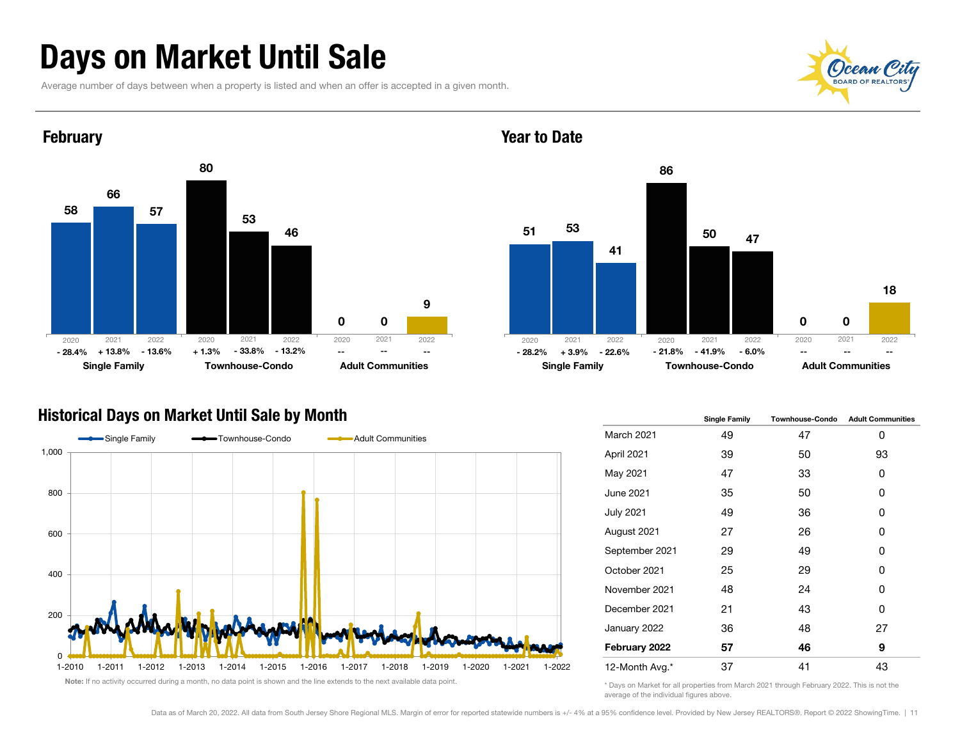### Days on Market Until Sale

Average number of days between when a property is listed and when an offer is accepted in a given month.





#### Year to Date



#### Historical Days on Market Until Sale by Month



|                   | <b>Single Family</b> | <b>Townhouse-Condo</b> | <b>Adult Communities</b> |  |  |
|-------------------|----------------------|------------------------|--------------------------|--|--|
| <b>March 2021</b> | 49                   | 47                     | 0                        |  |  |
| April 2021        | 39                   | 50                     | 93                       |  |  |
| May 2021          | 47                   | 33                     | 0                        |  |  |
| June 2021         | 35                   | 50                     | 0                        |  |  |
| <b>July 2021</b>  | 49                   | 36                     | 0                        |  |  |
| August 2021       | 27                   | 26                     | 0                        |  |  |
| September 2021    | 29                   | 49                     | 0                        |  |  |
| October 2021      | 25                   | 29                     | 0                        |  |  |
| November 2021     | 48                   | 24                     | 0                        |  |  |
| December 2021     | 21                   | 43                     | 0                        |  |  |
| January 2022      | 36                   | 48                     | 27                       |  |  |
| February 2022     | 57                   | 46                     | 9                        |  |  |
| 12-Month Avg.*    | 37                   | 41                     | 43                       |  |  |

\* Days on Market for all properties from March 2021 through February 2022. This is not the average of the individual figures above.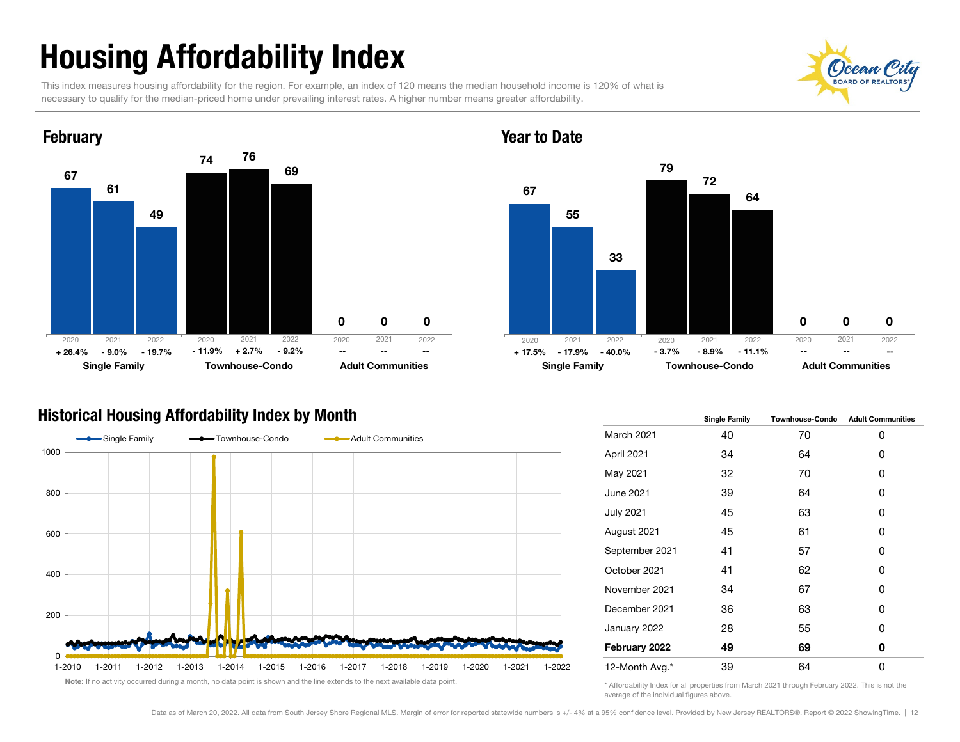## Housing Affordability Index

This index measures housing affordability for the region. For example, an index of 120 means the median household income is 120% of what is necessary to qualify for the median-priced home under prevailing interest rates. A higher number means greater affordability.

 $\Omega$ 



#### Year to Date



#### Historical Housing Affordability Index by Month



|                  | <b>Single Family</b> | <b>Townhouse-Condo</b> | <b>Adult Communities</b> |  |  |
|------------------|----------------------|------------------------|--------------------------|--|--|
| March 2021       | 40                   | 70                     | 0                        |  |  |
| April 2021       | 34                   | 64                     | 0                        |  |  |
| May 2021         | 32                   | 70                     | 0                        |  |  |
| June 2021        | 39                   | 64                     | 0                        |  |  |
| <b>July 2021</b> | 45                   | 63                     | 0                        |  |  |
| August 2021      | 45                   | 61                     | 0                        |  |  |
| September 2021   | 41                   | 57                     | 0                        |  |  |
| October 2021     | 41                   | 62                     | 0                        |  |  |
| November 2021    | 34                   | 67                     | 0                        |  |  |
| December 2021    | 36                   | 63                     | 0                        |  |  |
| January 2022     | 28                   | 55                     | 0                        |  |  |
| February 2022    | 49                   | 69                     | 0                        |  |  |
| 12-Month Avg.*   | 39                   | 64                     | 0                        |  |  |

\* Affordability Index for all properties from March 2021 through February 2022. This is not the average of the individual figures above.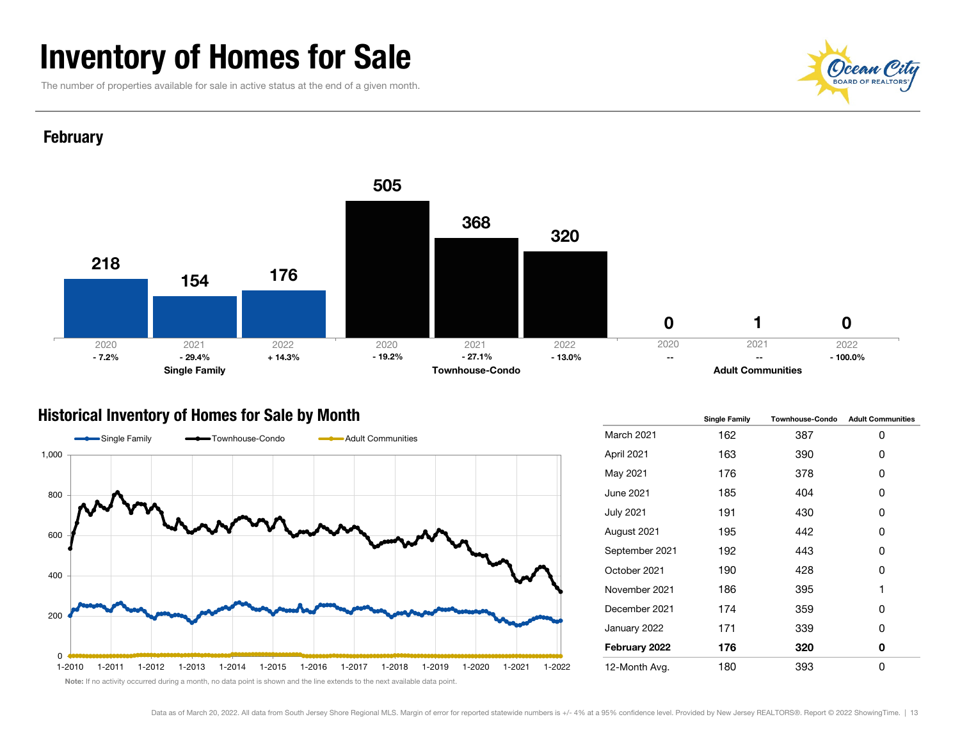### Inventory of Homes for Sale

The number of properties available for sale in active status at the end of a given month.



#### **February**



#### Historical Inventory of Homes for Sale by Month



|                  | <b>Single Family</b> | <b>Townhouse-Condo</b> | <b>Adult Communities</b> |  |  |
|------------------|----------------------|------------------------|--------------------------|--|--|
| March 2021       | 162                  | 387                    | 0                        |  |  |
| April 2021       | 163                  | 390                    | 0                        |  |  |
| May 2021         | 176                  | 378                    | 0                        |  |  |
| June 2021        | 185                  | 404                    | 0                        |  |  |
| <b>July 2021</b> | 191                  | 430                    | 0                        |  |  |
| August 2021      | 195                  | 442                    | 0                        |  |  |
| September 2021   | 192                  | 443                    | 0                        |  |  |
| October 2021     | 190                  | 428                    | 0                        |  |  |
| November 2021    | 186                  | 395                    | 1                        |  |  |
| December 2021    | 174                  | 359                    | 0                        |  |  |
| January 2022     | 171                  | 339                    | 0                        |  |  |
| February 2022    | 176                  | 320                    | 0                        |  |  |
| 12-Month Avg.    | 180                  | 393                    | 0                        |  |  |

Note: If no activity occurred during a month, no data point is shown and the line extends to the next available data point.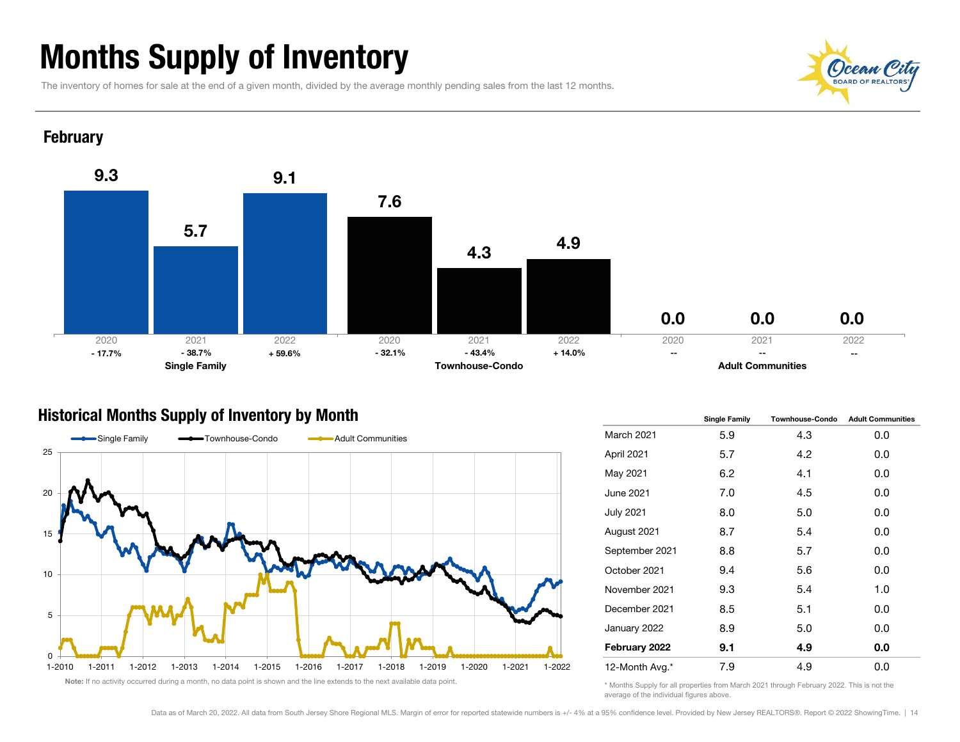### Months Supply of Inventory

The inventory of homes for sale at the end of a given month, divided by the average monthly pending sales from the last 12 months.



#### **February**



#### Historical Months Supply of Inventory by Month



|                   | <b>Single Family</b> | <b>Townhouse-Condo</b> | <b>Adult Communities</b> |  |  |
|-------------------|----------------------|------------------------|--------------------------|--|--|
| <b>March 2021</b> | 5.9                  | 4.3                    | 0.0                      |  |  |
| April 2021        | 5.7                  | 4.2                    | 0.0                      |  |  |
| May 2021          | 6.2                  | 4.1                    | 0.0                      |  |  |
| <b>June 2021</b>  | 7.0                  | 4.5                    | 0.0                      |  |  |
| <b>July 2021</b>  | 8.0                  | 5.0                    | 0.0                      |  |  |
| August 2021       | 8.7                  | 5.4                    | 0.0                      |  |  |
| September 2021    | 8.8                  | 5.7                    | 0.0                      |  |  |
| October 2021      | 9.4                  | 5.6                    | 0.0                      |  |  |
| November 2021     | 9.3                  | 5.4                    | 1.0                      |  |  |
| December 2021     | 8.5                  | 5.1                    | 0.0                      |  |  |
| January 2022      | 8.9                  | 5.0<br>0.0             |                          |  |  |
| February 2022     | 9.1                  | 4.9                    | 0.0                      |  |  |
| 12-Month Avg.*    | 7.9                  | 4.9                    | 0.0                      |  |  |

\* Months Supply for all properties from March 2021 through February 2022. This is not the average of the individual figures above.